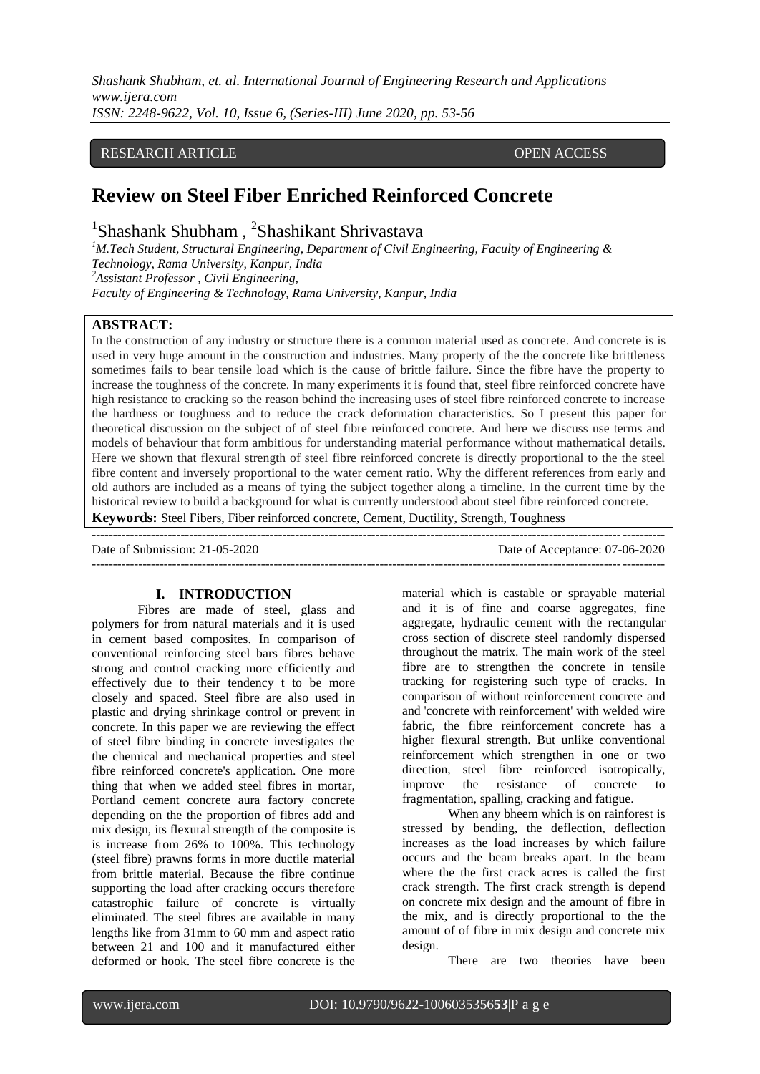*Shashank Shubham, et. al. International Journal of Engineering Research and Applications www.ijera.com ISSN: 2248-9622, Vol. 10, Issue 6, (Series-III) June 2020, pp. 53-56*

## RESEARCH ARTICLE OPEN ACCESS

# **Review on Steel Fiber Enriched Reinforced Concrete**

---------------------------------------------------------------------------------------------------------------------------------------

<sup>1</sup>Shashank Shubham, <sup>2</sup>Shashikant Shrivastava

*<sup>1</sup>M.Tech Student, Structural Engineering, Department of Civil Engineering, Faculty of Engineering & Technology, Rama University, Kanpur, India <sup>2</sup>Assistant Professor , Civil Engineering, Faculty of Engineering & Technology, Rama University, Kanpur, India* 

### **ABSTRACT:**

In the construction of any industry or structure there is a common material used as concrete. And concrete is is used in very huge amount in the construction and industries. Many property of the the concrete like brittleness sometimes fails to bear tensile load which is the cause of brittle failure. Since the fibre have the property to increase the toughness of the concrete. In many experiments it is found that, steel fibre reinforced concrete have high resistance to cracking so the reason behind the increasing uses of steel fibre reinforced concrete to increase the hardness or toughness and to reduce the crack deformation characteristics. So I present this paper for theoretical discussion on the subject of of steel fibre reinforced concrete. And here we discuss use terms and models of behaviour that form ambitious for understanding material performance without mathematical details. Here we shown that flexural strength of steel fibre reinforced concrete is directly proportional to the the steel fibre content and inversely proportional to the water cement ratio. Why the different references from early and old authors are included as a means of tying the subject together along a timeline. In the current time by the historical review to build a background for what is currently understood about steel fibre reinforced concrete. **Keywords:** Steel Fibers, Fiber reinforced concrete, Cement, Ductility, Strength, Toughness

Date of Submission: 21-05-2020 Date of Acceptance: 07-06-2020

 $-1-\frac{1}{2}$ 

### **I. INTRODUCTION**

Fibres are made of steel, glass and polymers for from natural materials and it is used in cement based composites. In comparison of conventional reinforcing steel bars fibres behave strong and control cracking more efficiently and effectively due to their tendency t to be more closely and spaced. Steel fibre are also used in plastic and drying shrinkage control or prevent in concrete. In this paper we are reviewing the effect of steel fibre binding in concrete investigates the the chemical and mechanical properties and steel fibre reinforced concrete's application. One more thing that when we added steel fibres in mortar, Portland cement concrete aura factory concrete depending on the the proportion of fibres add and mix design, its flexural strength of the composite is is increase from 26% to 100%. This technology (steel fibre) prawns forms in more ductile material from brittle material. Because the fibre continue supporting the load after cracking occurs therefore catastrophic failure of concrete is virtually eliminated. The steel fibres are available in many lengths like from 31mm to 60 mm and aspect ratio between 21 and 100 and it manufactured either deformed or hook. The steel fibre concrete is the

material which is castable or sprayable material and it is of fine and coarse aggregates, fine aggregate, hydraulic cement with the rectangular cross section of discrete steel randomly dispersed throughout the matrix. The main work of the steel fibre are to strengthen the concrete in tensile tracking for registering such type of cracks. In comparison of without reinforcement concrete and and 'concrete with reinforcement' with welded wire fabric, the fibre reinforcement concrete has a higher flexural strength. But unlike conventional reinforcement which strengthen in one or two direction, steel fibre reinforced isotropically, improve the resistance of concrete to fragmentation, spalling, cracking and fatigue.

When any bheem which is on rainforest is stressed by bending, the deflection, deflection increases as the load increases by which failure occurs and the beam breaks apart. In the beam where the the first crack acres is called the first crack strength. The first crack strength is depend on concrete mix design and the amount of fibre in the mix, and is directly proportional to the the amount of of fibre in mix design and concrete mix design.

There are two theories have been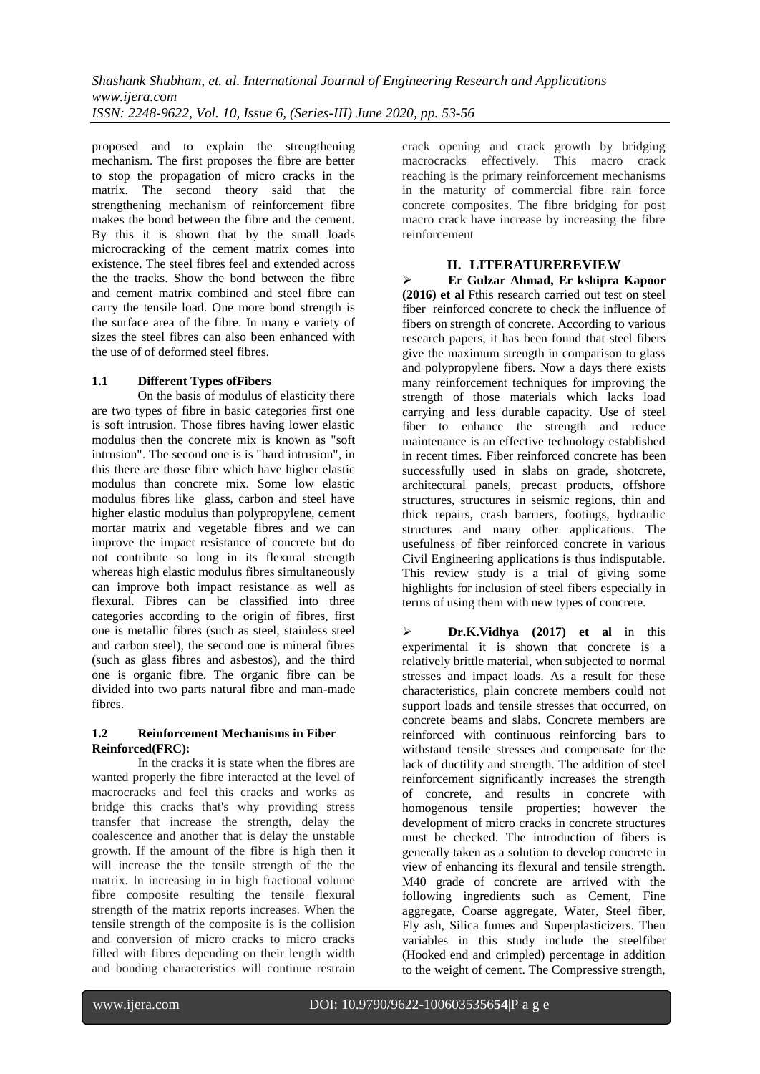proposed and to explain the strengthening mechanism. The first proposes the fibre are better to stop the propagation of micro cracks in the matrix. The second theory said that the strengthening mechanism of reinforcement fibre makes the bond between the fibre and the cement. By this it is shown that by the small loads microcracking of the cement matrix comes into existence. The steel fibres feel and extended across the the tracks. Show the bond between the fibre and cement matrix combined and steel fibre can carry the tensile load. One more bond strength is the surface area of the fibre. In many e variety of sizes the steel fibres can also been enhanced with the use of of deformed steel fibres.

## **1.1 Different Types ofFibers**

On the basis of modulus of elasticity there are two types of fibre in basic categories first one is soft intrusion. Those fibres having lower elastic modulus then the concrete mix is known as "soft intrusion". The second one is is "hard intrusion", in this there are those fibre which have higher elastic modulus than concrete mix. Some low elastic modulus fibres like glass, carbon and steel have higher elastic modulus than polypropylene, cement mortar matrix and vegetable fibres and we can improve the impact resistance of concrete but do not contribute so long in its flexural strength whereas high elastic modulus fibres simultaneously can improve both impact resistance as well as flexural. Fibres can be classified into three categories according to the origin of fibres, first one is metallic fibres (such as steel, stainless steel and carbon steel), the second one is mineral fibres (such as glass fibres and asbestos), and the third one is organic fibre. The organic fibre can be divided into two parts natural fibre and man-made fibres.

## **1.2 Reinforcement Mechanisms in Fiber Reinforced(FRC):**

In the cracks it is state when the fibres are wanted properly the fibre interacted at the level of macrocracks and feel this cracks and works as bridge this cracks that's why providing stress transfer that increase the strength, delay the coalescence and another that is delay the unstable growth. If the amount of the fibre is high then it will increase the the tensile strength of the the matrix. In increasing in in high fractional volume fibre composite resulting the tensile flexural strength of the matrix reports increases. When the tensile strength of the composite is is the collision and conversion of micro cracks to micro cracks filled with fibres depending on their length width and bonding characteristics will continue restrain

crack opening and crack growth by bridging macrocracks effectively. This macro crack reaching is the primary reinforcement mechanisms in the maturity of commercial fibre rain force concrete composites. The fibre bridging for post macro crack have increase by increasing the fibre reinforcement

## **II. LITERATUREREVIEW**

 **Er Gulzar Ahmad, Er kshipra Kapoor (2016) et al** Fthis research carried out test on steel fiber reinforced concrete to check the influence of fibers on strength of concrete. According to various research papers, it has been found that steel fibers give the maximum strength in comparison to glass and polypropylene fibers. Now a days there exists many reinforcement techniques for improving the strength of those materials which lacks load carrying and less durable capacity. Use of steel fiber to enhance the strength and reduce maintenance is an effective technology established in recent times. Fiber reinforced concrete has been successfully used in slabs on grade, shotcrete, architectural panels, precast products, offshore structures, structures in seismic regions, thin and thick repairs, crash barriers, footings, hydraulic structures and many other applications. The usefulness of fiber reinforced concrete in various Civil Engineering applications is thus indisputable. This review study is a trial of giving some highlights for inclusion of steel fibers especially in terms of using them with new types of concrete.

 **Dr.K.Vidhya (2017) et al** in this experimental it is shown that concrete is a relatively brittle material, when subjected to normal stresses and impact loads. As a result for these characteristics, plain concrete members could not support loads and tensile stresses that occurred, on concrete beams and slabs. Concrete members are reinforced with continuous reinforcing bars to withstand tensile stresses and compensate for the lack of ductility and strength. The addition of steel reinforcement significantly increases the strength of concrete, and results in concrete with homogenous tensile properties; however the development of micro cracks in concrete structures must be checked. The introduction of fibers is generally taken as a solution to develop concrete in view of enhancing its flexural and tensile strength. M40 grade of concrete are arrived with the following ingredients such as Cement, Fine aggregate, Coarse aggregate, Water, Steel fiber, Fly ash, Silica fumes and Superplasticizers. Then variables in this study include the steelfiber (Hooked end and crimpled) percentage in addition to the weight of cement. The Compressive strength,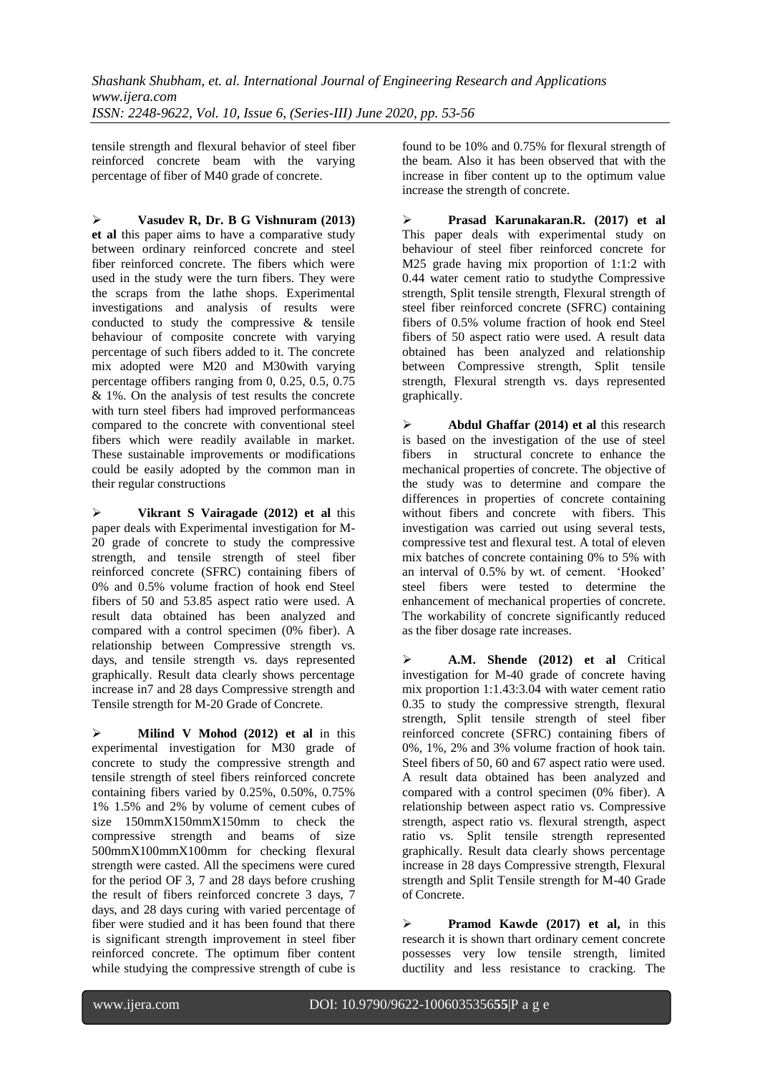tensile strength and flexural behavior of steel fiber reinforced concrete beam with the varying percentage of fiber of M40 grade of concrete.

 **Vasudev R, Dr. B G Vishnuram (2013) et al** this paper aims to have a comparative study between ordinary reinforced concrete and steel fiber reinforced concrete. The fibers which were used in the study were the turn fibers. They were the scraps from the lathe shops. Experimental investigations and analysis of results were conducted to study the compressive & tensile behaviour of composite concrete with varying percentage of such fibers added to it. The concrete mix adopted were M20 and M30with varying percentage offibers ranging from 0, 0.25, 0.5, 0.75 & 1%. On the analysis of test results the concrete with turn steel fibers had improved performanceas compared to the concrete with conventional steel fibers which were readily available in market. These sustainable improvements or modifications could be easily adopted by the common man in their regular constructions

 **Vikrant S Vairagade (2012) et al** this paper deals with Experimental investigation for M-20 grade of concrete to study the compressive strength, and tensile strength of steel fiber reinforced concrete (SFRC) containing fibers of 0% and 0.5% volume fraction of hook end Steel fibers of 50 and 53.85 aspect ratio were used. A result data obtained has been analyzed and compared with a control specimen (0% fiber). A relationship between Compressive strength vs. days, and tensile strength vs. days represented graphically. Result data clearly shows percentage increase in7 and 28 days Compressive strength and Tensile strength for M-20 Grade of Concrete.

 **Milind V Mohod (2012) et al** in this experimental investigation for M30 grade of concrete to study the compressive strength and tensile strength of steel fibers reinforced concrete containing fibers varied by 0.25%, 0.50%, 0.75% 1% 1.5% and 2% by volume of cement cubes of size 150mmX150mmX150mm to check the compressive strength and beams of size 500mmX100mmX100mm for checking flexural strength were casted. All the specimens were cured for the period OF 3, 7 and 28 days before crushing the result of fibers reinforced concrete 3 days, 7 days, and 28 days curing with varied percentage of fiber were studied and it has been found that there is significant strength improvement in steel fiber reinforced concrete. The optimum fiber content while studying the compressive strength of cube is

found to be 10% and 0.75% for flexural strength of the beam. Also it has been observed that with the increase in fiber content up to the optimum value increase the strength of concrete.

 **Prasad Karunakaran.R. (2017) et al**  This paper deals with experimental study on behaviour of steel fiber reinforced concrete for M25 grade having mix proportion of 1:1:2 with 0.44 water cement ratio to studythe Compressive strength, Split tensile strength, Flexural strength of steel fiber reinforced concrete (SFRC) containing fibers of 0.5% volume fraction of hook end Steel fibers of 50 aspect ratio were used. A result data obtained has been analyzed and relationship between Compressive strength, Split tensile strength, Flexural strength vs. days represented graphically.

Abdul Ghaffar (2014) et al this research is based on the investigation of the use of steel fibers in structural concrete to enhance the mechanical properties of concrete. The objective of the study was to determine and compare the differences in properties of concrete containing without fibers and concrete with fibers. This investigation was carried out using several tests, compressive test and flexural test. A total of eleven mix batches of concrete containing 0% to 5% with an interval of 0.5% by wt. of cement. "Hooked" steel fibers were tested to determine the enhancement of mechanical properties of concrete. The workability of concrete significantly reduced as the fiber dosage rate increases.

 **A.M. Shende (2012) et al** Critical investigation for M-40 grade of concrete having mix proportion 1:1.43:3.04 with water cement ratio 0.35 to study the compressive strength, flexural strength, Split tensile strength of steel fiber reinforced concrete (SFRC) containing fibers of 0%, 1%, 2% and 3% volume fraction of hook tain. Steel fibers of 50, 60 and 67 aspect ratio were used. A result data obtained has been analyzed and compared with a control specimen (0% fiber). A relationship between aspect ratio vs. Compressive strength, aspect ratio vs. flexural strength, aspect ratio vs. Split tensile strength represented graphically. Result data clearly shows percentage increase in 28 days Compressive strength, Flexural strength and Split Tensile strength for M-40 Grade of Concrete.

 **Pramod Kawde (2017) et al,** in this research it is shown thart ordinary cement concrete possesses very low tensile strength, limited ductility and less resistance to cracking. The